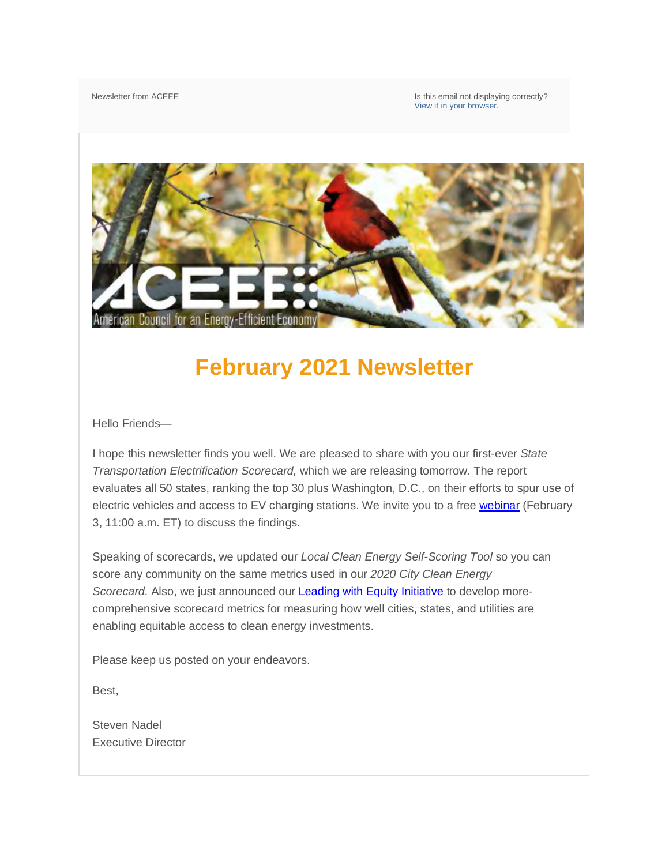Newsletter from ACEEE **Is this email not displaying correctly?** Is this email not displaying correctly? [View it in your browser.](https://embedded-preview.pardot.com/email/showHtmlMessage/id/%25%25view_online%25%25) 



# **February 2021 Newsletter**

Hello Friends—

I hope this newsletter finds you well. We are pleased to share with you our first-ever *State Transportation Electrification Scorecard,* which we are releasing tomorrow. The report evaluates all 50 states, ranking the top 30 plus Washington, D.C., on their efforts to spur use of electric vehicles and access to EV charging stations. We invite you to a free [webinar](https://event.on24.com/eventRegistration/EventLobbyServlet?target=reg30.jsp&referrer=&eventid=2978287&sessionid=1&key=F392673D703D6D22383F45475597AFC2®Tag=&V2=false&sourcepage=register) (February 3, 11:00 a.m. ET) to discuss the findings.

Speaking of scorecards, we updated our *Local Clean Energy Self-Scoring Tool* so you can score any community on the same metrics used in our *2020 City Clean Energy Scorecard.* Also, we just announced our [Leading with Equity Initiative](https://www.aceee.org/energy-equity-initiative) to develop morecomprehensive scorecard metrics for measuring how well cities, states, and utilities are enabling equitable access to clean energy investments.

Please keep us posted on your endeavors.

Best,

Steven Nadel Executive Director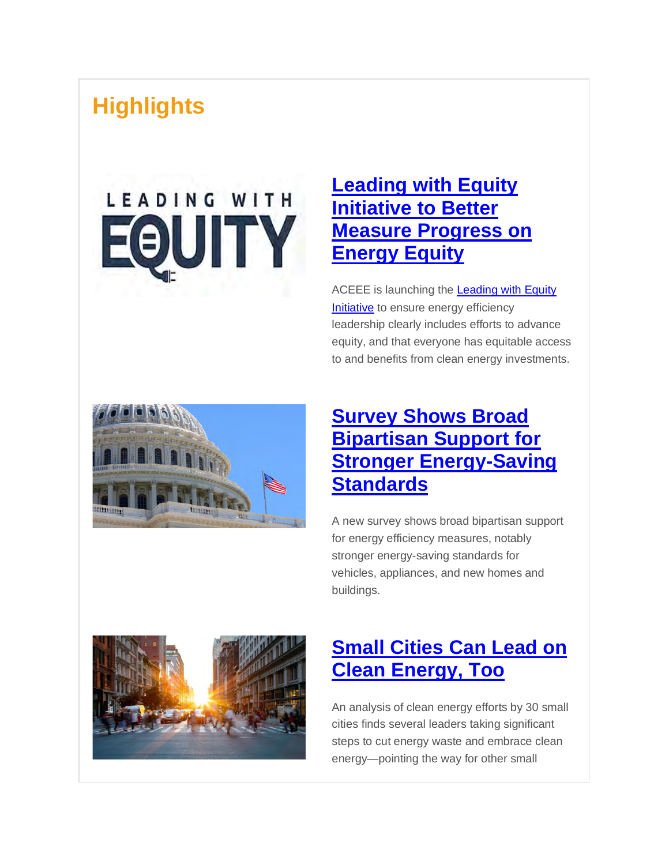# **Highlights**

# LEADING WITH EQUITY

#### **[Leading with Equity](https://www.aceee.org/blog-post/2021/01/aceee-launches-leading-equity-initiative-better-measure-progress-energy-equity)  Initiative to Better [Measure Progress on](https://www.aceee.org/blog-post/2021/01/aceee-launches-leading-equity-initiative-better-measure-progress-energy-equity)  [Energy Equity](https://www.aceee.org/blog-post/2021/01/aceee-launches-leading-equity-initiative-better-measure-progress-energy-equity)**

ACEEE is launching the [Leading with Equity](https://www.aceee.org/energy-equity-initiative)  [Initiative](https://www.aceee.org/energy-equity-initiative) to ensure energy efficiency leadership clearly includes efforts to advance equity, and that everyone has equitable access to and benefits from clean energy investments.



#### **[Survey Shows Broad](https://www.aceee.org/blog-post/2021/01/survey-shows-broad-bipartisan-support-stronger-energy-saving-standards)  [Bipartisan Support for](https://www.aceee.org/blog-post/2021/01/survey-shows-broad-bipartisan-support-stronger-energy-saving-standards)  [Stronger Energy-Saving](https://www.aceee.org/blog-post/2021/01/survey-shows-broad-bipartisan-support-stronger-energy-saving-standards)  [Standards](https://www.aceee.org/blog-post/2021/01/survey-shows-broad-bipartisan-support-stronger-energy-saving-standards)**

A new survey shows broad bipartisan support for energy efficiency measures, notably stronger energy-saving standards for vehicles, appliances, and new homes and buildings.



#### **[Small Cities Can Lead on](https://www.aceee.org/press-release/2021/01/aceee-analysis-finds-small-cities-can-lead-clean-energy-too)  [Clean Energy, Too](https://www.aceee.org/press-release/2021/01/aceee-analysis-finds-small-cities-can-lead-clean-energy-too)**

An analysis of clean energy efforts by 30 small cities finds several leaders taking significant steps to cut energy waste and embrace clean energy—pointing the way for other small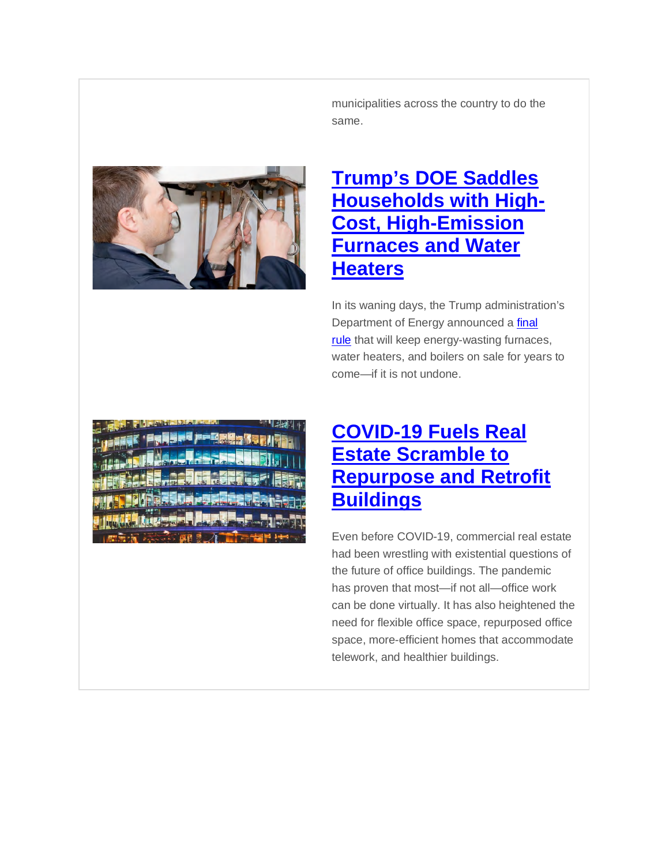municipalities across the country to do the same.



#### **[Trump's DOE Saddles](https://www.aceee.org/press-release/2021/01/trumps-doe-saddles-households-high-cost-high-emission-furnaces-and-water)  [Households with High-](https://www.aceee.org/press-release/2021/01/trumps-doe-saddles-households-high-cost-high-emission-furnaces-and-water)[Cost, High-Emission](https://www.aceee.org/press-release/2021/01/trumps-doe-saddles-households-high-cost-high-emission-furnaces-and-water)  [Furnaces and Water](https://www.aceee.org/press-release/2021/01/trumps-doe-saddles-households-high-cost-high-emission-furnaces-and-water)  [Heaters](https://www.aceee.org/press-release/2021/01/trumps-doe-saddles-households-high-cost-high-emission-furnaces-and-water)**

In its waning days, the Trump administration's Department of Energy announced a final [rule](https://www.federalregister.gov/public-inspection/2020-28956/energy-conservation-program-for-appliance-standards-energy-conservation-standards-for-residential) that will keep energy-wasting furnaces, water heaters, and boilers on sale for years to come—if it is not undone.

#### **[COVID-19 Fuels Real](https://www.aceee.org/blog-post/2021/01/covid-19-fuels-real-estate-scramble-repurpose-and-retrofit-buildings)  [Estate Scramble to](https://www.aceee.org/blog-post/2021/01/covid-19-fuels-real-estate-scramble-repurpose-and-retrofit-buildings)  [Repurpose and Retrofit](https://www.aceee.org/blog-post/2021/01/covid-19-fuels-real-estate-scramble-repurpose-and-retrofit-buildings)  [Buildings](https://www.aceee.org/blog-post/2021/01/covid-19-fuels-real-estate-scramble-repurpose-and-retrofit-buildings)**

Even before COVID-19, commercial real estate had been wrestling with existential questions of the future of office buildings. The pandemic has proven that most—if not all—office work can be done virtually. It has also heightened the need for flexible office space, repurposed office space, more-efficient homes that accommodate telework, and healthier buildings.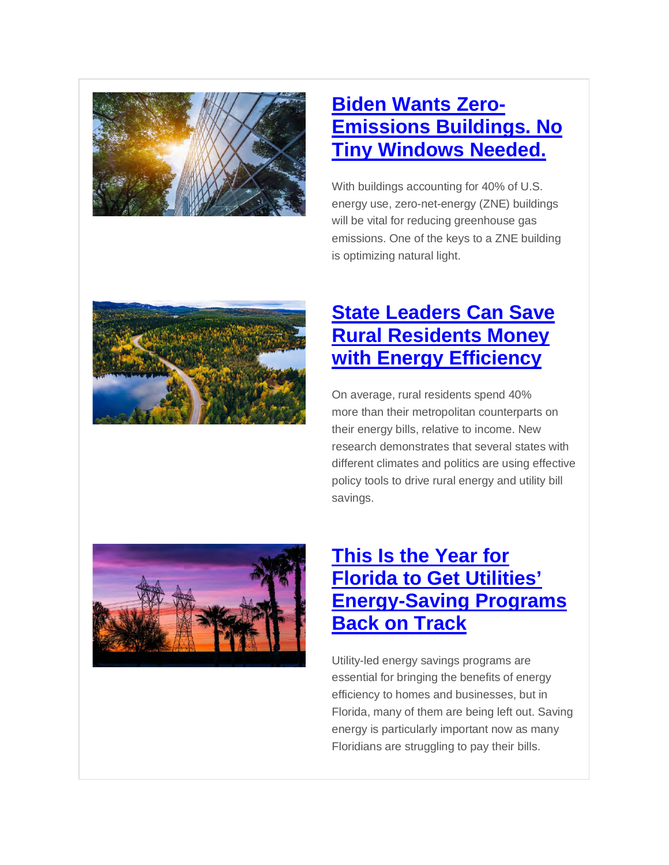

#### **[Biden Wants Zero-](https://www.aceee.org/blog-post/2021/02/biden-wants-zero-emissions-buildings-no-tiny-windows-needed)[Emissions Buildings. No](https://www.aceee.org/blog-post/2021/02/biden-wants-zero-emissions-buildings-no-tiny-windows-needed)  [Tiny Windows Needed.](https://www.aceee.org/blog-post/2021/02/biden-wants-zero-emissions-buildings-no-tiny-windows-needed)**

With buildings accounting for 40% of U.S. energy use, zero-net-energy (ZNE) buildings will be vital for reducing greenhouse gas emissions. One of the keys to a ZNE building is optimizing natural light.



#### **[State Leaders Can Save](https://www.aceee.org/blog-post/2021/01/state-leaders-can-save-rural-residents-money-energy-efficiency)  [Rural Residents Money](https://www.aceee.org/blog-post/2021/01/state-leaders-can-save-rural-residents-money-energy-efficiency)  [with Energy Efficiency](https://www.aceee.org/blog-post/2021/01/state-leaders-can-save-rural-residents-money-energy-efficiency)**

On average, rural residents spend 40% more than their metropolitan counterparts on their energy bills, relative to income. New research demonstrates that several states with different climates and politics are using effective policy tools to drive rural energy and utility bill savings.



#### **[This Is the Year for](https://www.aceee.org/blog-post/2021/01/year-florida-get-utilities-energy-saving-programs-back-track)  [Florida to Get Utilities'](https://www.aceee.org/blog-post/2021/01/year-florida-get-utilities-energy-saving-programs-back-track)  [Energy-Saving Programs](https://www.aceee.org/blog-post/2021/01/year-florida-get-utilities-energy-saving-programs-back-track)  [Back on Track](https://www.aceee.org/blog-post/2021/01/year-florida-get-utilities-energy-saving-programs-back-track)**

Utility-led energy savings programs are essential for bringing the benefits of energy efficiency to homes and businesses, but in Florida, many of them are being left out. Saving energy is particularly important now as many Floridians are struggling to pay their bills.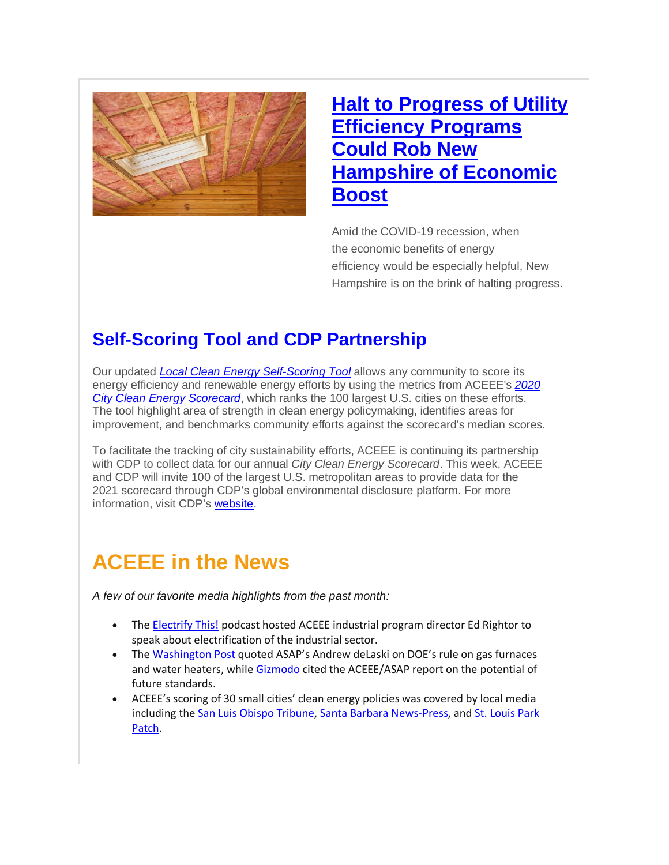

#### **Halt to Progress of Utility [Efficiency Programs](https://www.aceee.org/blog-post/2021/01/halt-progress-utility-efficiency-programs-could-rob-new-hampshire-economic-boost)  Could Rob New [Hampshire of Economic](https://www.aceee.org/blog-post/2021/01/halt-progress-utility-efficiency-programs-could-rob-new-hampshire-economic-boost)  [Boost](https://www.aceee.org/blog-post/2021/01/halt-progress-utility-efficiency-programs-could-rob-new-hampshire-economic-boost)**

Amid the COVID-19 recession, when the economic benefits of energy efficiency would be especially helpful, New Hampshire is on the brink of halting progress.

#### **Self-Scoring Tool and CDP Partnership**

Our updated *[Local Clean Energy Self-Scoring Tool](https://www.aceee.org/toolkit/2021/01/local-clean-energy-self-scoring-tool-version-50)* allows any community to score its energy efficiency and renewable energy efforts by using the metrics from ACEEE's *[2020](https://www.aceee.org/local-policy/city-scorecard)  [City Clean Energy Scorecard](https://www.aceee.org/local-policy/city-scorecard)*, which ranks the 100 largest U.S. cities on these efforts. The tool highlight area of strength in clean energy policymaking, identifies areas for improvement, and benchmarks community efforts against the scorecard's median scores.

To facilitate the tracking of city sustainability efforts, ACEEE is continuing its partnership with CDP to collect data for our annual *City Clean Energy Scorecard*. This week, ACEEE and CDP will invite 100 of the largest U.S. metropolitan areas to provide data for the 2021 scorecard through CDP's global environmental disclosure platform. For more information, visit CDP's [website.](https://nam10.safelinks.protection.outlook.com/?url=https%3A%2F%2Fwww.cdp.net%2Fen%2Fguidance%2Fguidance-for-cities%23ACEEE&data=04%7C01%7Cmcarter%40aceee.org%7C6fc0d8f3c0564d3de1df08d8c158ea1a%7Cd317cef123d5472bb8d214478f8bdf27%7C0%7C0%7C637471934931444607%7CUnknown%7CTWFpbGZsb3d8eyJWIjoiMC4wLjAwMDAiLCJQIjoiV2luMzIiLCJBTiI6Ik1haWwiLCJXVCI6Mn0%3D%7C1000&sdata=VGtAhwjQdeVm8Gi6fQiLKqfIpzZpWMKyQUXODXN8bi8%3D&reserved=0)

#### **ACEEE in the News**

*A few of our favorite media highlights from the past month:*

- The [Electrify This!](https://www.buzzsprout.com/1376587/7420012) podcast hosted ACEEE industrial program director Ed Rightor to speak about electrification of the industrial sector.
- The [Washington Post](https://www.washingtonpost.com/climate-environment/2021/01/15/trump-environmental-rollbacks/) quoted ASAP's Andrew deLaski on DOE's rule on gas furnaces and water heaters, while [Gizmodo](https://earther.gizmodo.com/donald-trump-confronts-the-scourge-of-efficient-hot-wat-1846062115) cited the ACEEE/ASAP report on the potential of future standards.
- ACEEE's scoring of 30 small cities' clean energy policies was covered by local media including the [San Luis Obispo Tribune,](https://www.sanluisobispo.com/news/local/article248636875.html) [Santa Barbara News-Press,](https://newspress.com/honored-for-sustainability/) and St. Louis Park [Patch.](https://patch.com/minnesota/stlouispark/st-louis-park-earns-3rd-place-national-community-energy-challenge)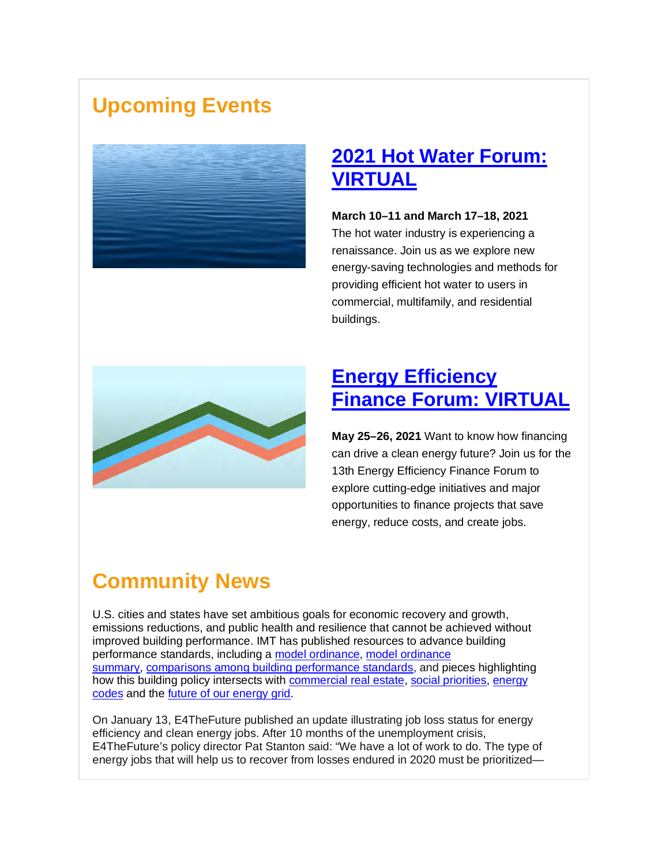### **Upcoming Events**



#### **[2021 Hot Water](https://www.aceee.org/2021-hot-water-forum) Forum: [VIRTUAL](https://www.aceee.org/2021-hot-water-forum)**

**March 10–11 and March 17–18, 2021**

The hot water industry is experiencing a renaissance. Join us as we explore new energy-saving technologies and methods for providing efficient hot water to users in commercial, multifamily, and residential buildings.



#### **[Energy Efficiency](https://www.aceee.org/2021-energy-efficiency-finance-forum)  [Finance Forum: VIRTUAL](https://www.aceee.org/2021-energy-efficiency-finance-forum)**

**May 25–26, 2021** Want to know how financing can drive a clean energy future? Join us for the 13th Energy Efficiency Finance Forum to explore cutting-edge initiatives and major opportunities to finance projects that save energy, reduce costs, and create jobs.

## **Community News**

U.S. cities and states have set ambitious goals for economic recovery and growth, emissions reductions, and public health and resilience that cannot be achieved without improved building performance. IMT has published resources to advance building performance standards, including a [model ordinance,](https://www.imt.org/resources/model-ordinance-for-building-performance-standards/) [model ordinance](https://www.imt.org/resources/imt-model-bps-ordinance-summary/)  [summary,](https://www.imt.org/resources/imt-model-bps-ordinance-summary/) [comparisons among building performance standards,](https://www.imt.org/resources/comparison-of-u-s-building-performance-standards/) and pieces highlighting how this building policy intersects with [commercial real estate,](https://www.imt.org/creating-real-estate-friendly-building-performance-standards/) [social priorities,](https://www.imt.org/building-performance-is-about-more-than-energy/) [energy](https://www.imt.org/resources/a-lifecycle-approach-to-building-performance-regulation/)  [codes](https://www.imt.org/resources/a-lifecycle-approach-to-building-performance-regulation/) and the [future of our energy grid.](https://www.imt.org/resources/opportunities-to-advance-demand-flexibility-with-building-performance-standards/)

On January 13, E4TheFuture published an update illustrating job loss status for energy efficiency and clean energy jobs. After 10 months of the unemployment crisis, E4TheFuture's policy director Pat Stanton said: "We have a lot of work to do. The type of energy jobs that will help us to recover from losses endured in 2020 must be prioritized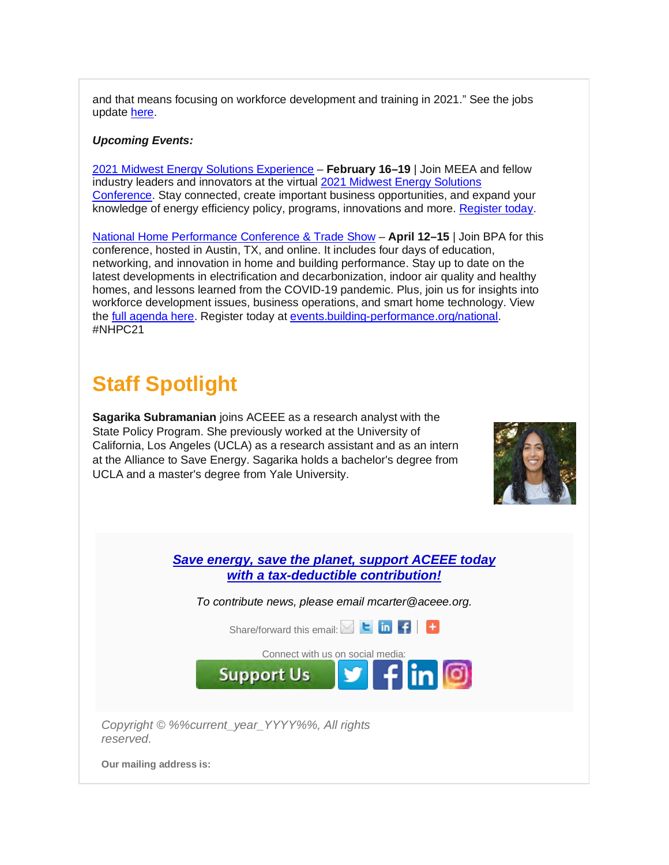and that means focusing on workforce development and training in 2021." See the jobs update [here.](https://e4thefuture.org/clean-energy-jobs-december-2020-analysis/)

#### *Upcoming Events:*

[2021 Midwest Energy Solutions Experience](https://www.eventbrite.com/e/2021-midwest-energy-solutions-conference-registration-125376336999?aff=ACEEE) – **February 16–19** | Join MEEA and fellow industry leaders and innovators at the virtual [2021 Midwest Energy Solutions](https://www.meeaconference.org/)  [Conference.](https://www.meeaconference.org/) Stay connected, create important business opportunities, and expand your knowledge of energy efficiency policy, programs, innovations and more. [Register today.](https://www.eventbrite.com/e/2021-midwest-energy-solutions-conference-registration-125376336999?aff=ACEEE)

[National Home Performance Conference & Trade Show](https://events.building-performance.org/national/) – **April 12–15** | Join BPA for this conference, hosted in Austin, TX, and online. It includes four days of education, networking, and innovation in home and building performance. Stay up to date on the latest developments in electrification and decarbonization, indoor air quality and healthy homes, and lessons learned from the COVID-19 pandemic. Plus, join us for insights into workforce development issues, business operations, and smart home technology. View the [full agenda here.](https://events.building-performance.org/national/schedule/) Register today at [events.building-performance.org/national.](https://events.building-performance.org/national/) #NHPC21

#### **Staff Spotlight**

**Sagarika Subramanian** joins ACEEE as a research analyst with the State Policy Program. She previously worked at the University of California, Los Angeles (UCLA) as a research assistant and as an intern at the Alliance to Save Energy. Sagarika holds a bachelor's degree from UCLA and a master's degree from Yale University.



*[Save energy, save the planet, support ACEEE today](https://www.aceee.org/donate) [with a tax-deductible contribution!](https://www.aceee.org/donate)*

*To contribute news, please email mcarter@aceee.org.*

Share/forwardthis email: Share/forward this email:

[Connect with us](https://aceee.org/about/donate) [on socia](https://twitter.com/ACEEEdc)[l media](https://www.facebook.com/myACEEE/?fref=ts):



**Support Us** 

**Our mailing address is:**